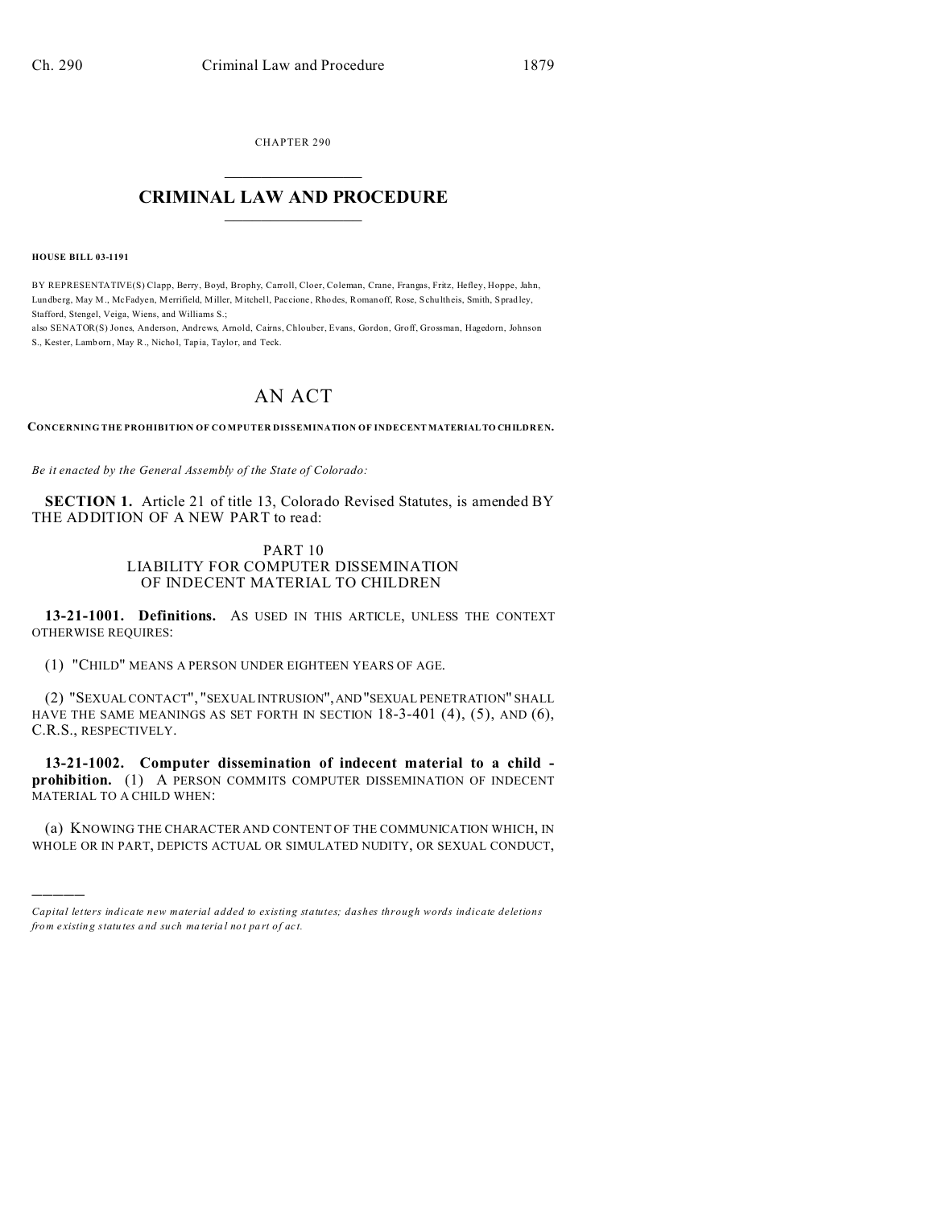CHAPTER 290  $\overline{\phantom{a}}$  , where  $\overline{\phantom{a}}$ 

## **CRIMINAL LAW AND PROCEDURE**  $\_$   $\_$   $\_$   $\_$   $\_$   $\_$   $\_$   $\_$   $\_$

**HOUSE BILL 03-1191**

)))))

BY REPRESENTATIVE(S) Clapp, Berry, Boyd, Brophy, Carroll, Cloer, Coleman, Crane, Frangas, Fritz, Hefley, Hoppe, Jahn, Lundbe rg, May M., McFadyen, Merrifield, Miller, Mitchell, Paccione , Rho des, Romanoff, Rose, Schultheis, Smith, Spradley, Stafford, Stengel, Veiga, Wiens, and Williams S.;

also SENATOR(S) Jones, Anderson, Andrews, Arnold, Cairns, Chlouber, Evans, Gordon, Groff, Grossman, Hagedorn, Johnson S., Kester, Lamborn, May R., Nicho l, Tapia, Taylor, and Teck.

## AN ACT

**CONCERNING THE PROHIBITION OF CO MPUTER DISSEMINATION OF INDECENT MATERIALTO CHILDREN.**

*Be it enacted by the General Assembly of the State of Colorado:*

**SECTION 1.** Article 21 of title 13, Colorado Revised Statutes, is amended BY THE ADDITION OF A NEW PART to read:

## PART 10 LIABILITY FOR COMPUTER DISSEMINATION OF INDECENT MATERIAL TO CHILDREN

**13-21-1001. Definitions.** AS USED IN THIS ARTICLE, UNLESS THE CONTEXT OTHERWISE REQUIRES:

(1) "CHILD" MEANS A PERSON UNDER EIGHTEEN YEARS OF AGE.

(2) "SEXUAL CONTACT", "SEXUAL INTRUSION",AND"SEXUAL PENETRATION" SHALL HAVE THE SAME MEANINGS AS SET FORTH IN SECTION  $18-3-401$  (4), (5), AND (6), C.R.S., RESPECTIVELY.

**13-21-1002. Computer dissemination of indecent material to a child prohibition.** (1) A PERSON COMMITS COMPUTER DISSEMINATION OF INDECENT MATERIAL TO A CHILD WHEN:

(a) KNOWING THE CHARACTER AND CONTENT OF THE COMMUNICATION WHICH, IN WHOLE OR IN PART, DEPICTS ACTUAL OR SIMULATED NUDITY, OR SEXUAL CONDUCT,

*Capital letters indicate new material added to existing statutes; dashes through words indicate deletions from e xistin g statu tes a nd such ma teria l no t pa rt of ac t.*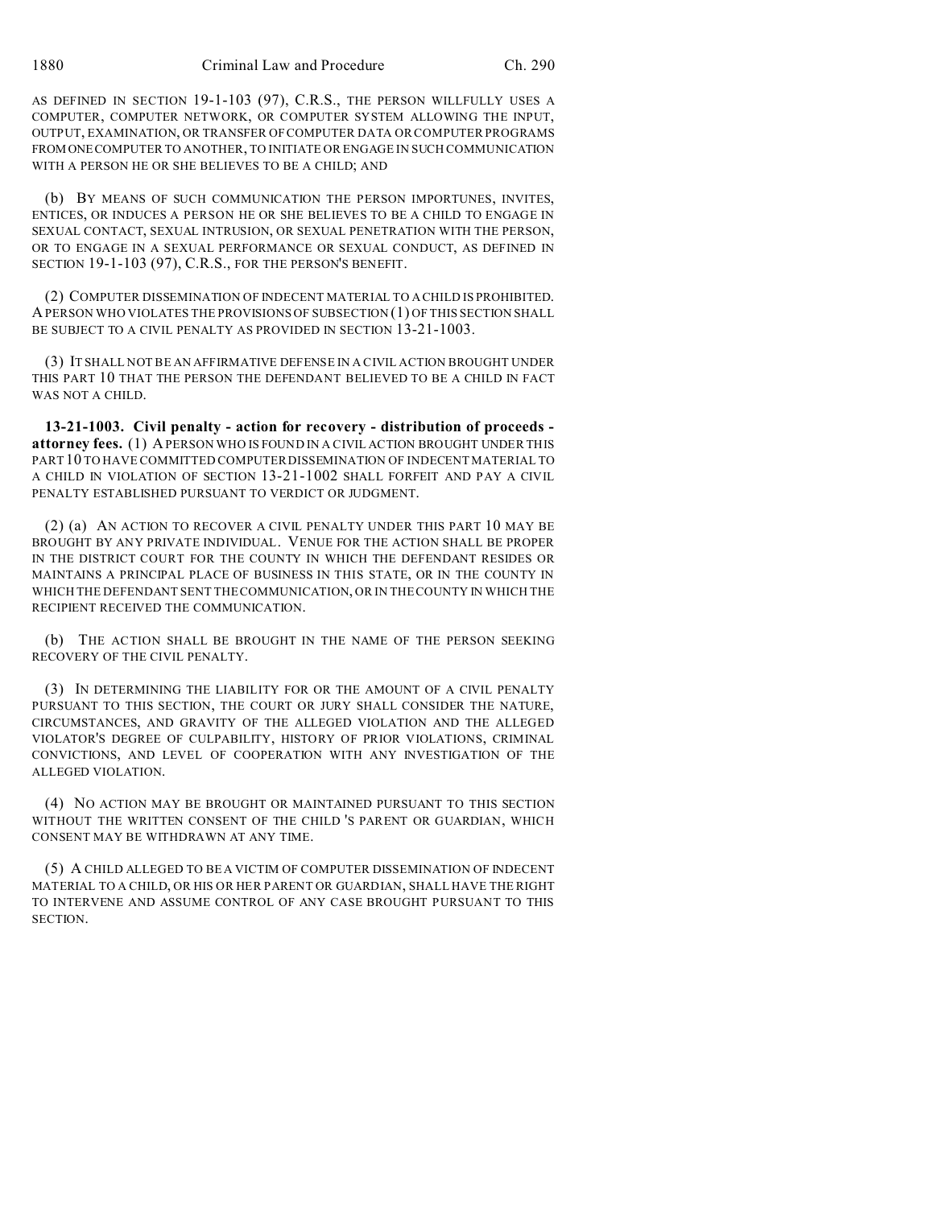AS DEFINED IN SECTION 19-1-103 (97), C.R.S., THE PERSON WILLFULLY USES A COMPUTER, COMPUTER NETWORK, OR COMPUTER SYSTEM ALLOWING THE INPUT, OUTPUT, EXAMINATION, OR TRANSFER OF COMPUTER DATA OR COMPUTER PROGRAMS FROMONECOMPUTER TO ANOTHER, TO INITIATE OR ENGAGE IN SUCH COMMUNICATION WITH A PERSON HE OR SHE BELIEVES TO BE A CHILD; AND

(b) BY MEANS OF SUCH COMMUNICATION THE PERSON IMPORTUNES, INVITES, ENTICES, OR INDUCES A PERSON HE OR SHE BELIEVES TO BE A CHILD TO ENGAGE IN SEXUAL CONTACT, SEXUAL INTRUSION, OR SEXUAL PENETRATION WITH THE PERSON, OR TO ENGAGE IN A SEXUAL PERFORMANCE OR SEXUAL CONDUCT, AS DEFINED IN SECTION 19-1-103 (97), C.R.S., FOR THE PERSON'S BENEFIT.

(2) COMPUTER DISSEMINATION OF INDECENT MATERIAL TO A CHILD IS PROHIBITED. A PERSON WHO VIOLATES THE PROVISIONS OF SUBSECTION (1) OF THIS SECTION SHALL BE SUBJECT TO A CIVIL PENALTY AS PROVIDED IN SECTION 13-21-1003.

(3) IT SHALL NOT BE AN AFFIRMATIVE DEFENSE IN A CIVIL ACTION BROUGHT UNDER THIS PART 10 THAT THE PERSON THE DEFENDANT BELIEVED TO BE A CHILD IN FACT WAS NOT A CHILD.

**13-21-1003. Civil penalty - action for recovery - distribution of proceeds attorney fees.** (1) A PERSON WHO IS FOUND IN A CIVIL ACTION BROUGHT UNDER THIS PART10 TO HAVE COMMITTED COMPUTER DISSEMINATION OF INDECENT MATERIAL TO A CHILD IN VIOLATION OF SECTION 13-21-1002 SHALL FORFEIT AND PAY A CIVIL PENALTY ESTABLISHED PURSUANT TO VERDICT OR JUDGMENT.

(2) (a) AN ACTION TO RECOVER A CIVIL PENALTY UNDER THIS PART 10 MAY BE BROUGHT BY ANY PRIVATE INDIVIDUAL. VENUE FOR THE ACTION SHALL BE PROPER IN THE DISTRICT COURT FOR THE COUNTY IN WHICH THE DEFENDANT RESIDES OR MAINTAINS A PRINCIPAL PLACE OF BUSINESS IN THIS STATE, OR IN THE COUNTY IN WHICH THE DEFENDANT SENT THE COMMUNICATION, OR IN THE COUNTY IN WHICH THE RECIPIENT RECEIVED THE COMMUNICATION.

(b) THE ACTION SHALL BE BROUGHT IN THE NAME OF THE PERSON SEEKING RECOVERY OF THE CIVIL PENALTY.

(3) IN DETERMINING THE LIABILITY FOR OR THE AMOUNT OF A CIVIL PENALTY PURSUANT TO THIS SECTION, THE COURT OR JURY SHALL CONSIDER THE NATURE, CIRCUMSTANCES, AND GRAVITY OF THE ALLEGED VIOLATION AND THE ALLEGED VIOLATOR'S DEGREE OF CULPABILITY, HISTORY OF PRIOR VIOLATIONS, CRIMINAL CONVICTIONS, AND LEVEL OF COOPERATION WITH ANY INVESTIGATION OF THE ALLEGED VIOLATION.

(4) NO ACTION MAY BE BROUGHT OR MAINTAINED PURSUANT TO THIS SECTION WITHOUT THE WRITTEN CONSENT OF THE CHILD 'S PARENT OR GUARDIAN, WHICH CONSENT MAY BE WITHDRAWN AT ANY TIME.

(5) A CHILD ALLEGED TO BE A VICTIM OF COMPUTER DISSEMINATION OF INDECENT MATERIAL TO A CHILD, OR HIS OR HER PARENT OR GUARDIAN, SHALL HAVE THE RIGHT TO INTERVENE AND ASSUME CONTROL OF ANY CASE BROUGHT PURSUANT TO THIS **SECTION**